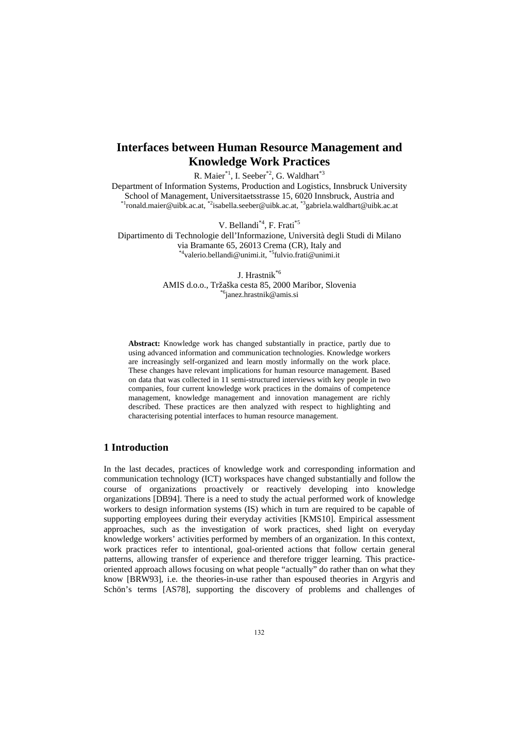# **Interfaces between Human Resource Management and Knowledge Work Practices**

R. Maier<sup>\*1</sup>, I. Seeber<sup>\*2</sup>, G. Waldhart<sup>\*3</sup>

Department of Information Systems, Production and Logistics, Innsbruck University School of Management, Universitaetsstrasse 15, 6020 Innsbruck, Austria and \*1ronald.maier@uibk.ac.at, \*2isabella.seeber@uibk.ac.at, \*3gabriela.waldhart@uibk.ac.at

V. Bellandi\*4, F. Frati\*5

Dipartimento di Technologie dell'Informazione, Università degli Studi di Milano via Bramante 65, 26013 Crema (CR), Italy and \*4valerio.bellandi@unimi.it, \*5fulvio.frati@unimi.it

> J. Hrastnik\*6 AMIS d.o.o., Tržaška cesta 85, 2000 Maribor, Slovenia \*6janez.hrastnik@amis.si

**Abstract:** Knowledge work has changed substantially in practice, partly due to using advanced information and communication technologies. Knowledge workers are increasingly self-organized and learn mostly informally on the work place. These changes have relevant implications for human resource management. Based on data that was collected in 11 semi-structured interviews with key people in two companies, four current knowledge work practices in the domains of competence management, knowledge management and innovation management are richly described. These practices are then analyzed with respect to highlighting and characterising potential interfaces to human resource management.

### **1 Introduction**

In the last decades, practices of knowledge work and corresponding information and communication technology (ICT) workspaces have changed substantially and follow the course of organizations proactively or reactively developing into knowledge organizations [DB94]. There is a need to study the actual performed work of knowledge workers to design information systems (IS) which in turn are required to be capable of supporting employees during their everyday activities [KMS10]. Empirical assessment approaches, such as the investigation of work practices, shed light on everyday knowledge workers' activities performed by members of an organization. In this context, work practices refer to intentional, goal-oriented actions that follow certain general patterns, allowing transfer of experience and therefore trigger learning. This practiceoriented approach allows focusing on what people "actually" do rather than on what they know [BRW93], i.e. the theories-in-use rather than espoused theories in Argyris and Schön's terms [AS78], supporting the discovery of problems and challenges of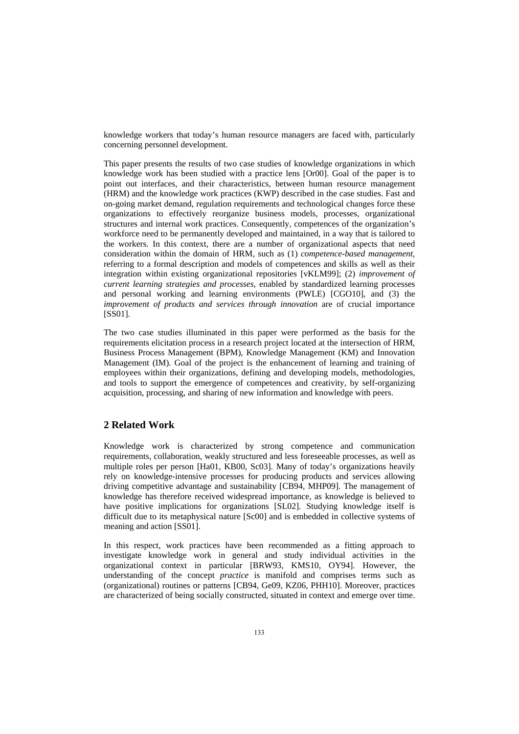knowledge workers that today's human resource managers are faced with, particularly concerning personnel development.

This paper presents the results of two case studies of knowledge organizations in which knowledge work has been studied with a practice lens [Or00]. Goal of the paper is to point out interfaces, and their characteristics, between human resource management (HRM) and the knowledge work practices (KWP) described in the case studies. Fast and on-going market demand, regulation requirements and technological changes force these organizations to effectively reorganize business models, processes, organizational structures and internal work practices. Consequently, competences of the organization's workforce need to be permanently developed and maintained, in a way that is tailored to the workers. In this context, there are a number of organizational aspects that need consideration within the domain of HRM, such as (1) *competence-based management,* referring to a formal description and models of competences and skills as well as their integration within existing organizational repositories [vKLM99]; (2) *improvement of current learning strategies and processes*, enabled by standardized learning processes and personal working and learning environments (PWLE) [CGO10], and (3) the *improvement of products and services through innovation* are of crucial importance [SS01].

The two case studies illuminated in this paper were performed as the basis for the requirements elicitation process in a research project located at the intersection of HRM, Business Process Management (BPM), Knowledge Management (KM) and Innovation Management (IM). Goal of the project is the enhancement of learning and training of employees within their organizations, defining and developing models, methodologies, and tools to support the emergence of competences and creativity, by self-organizing acquisition, processing, and sharing of new information and knowledge with peers.

## **2 Related Work**

Knowledge work is characterized by strong competence and communication requirements, collaboration, weakly structured and less foreseeable processes, as well as multiple roles per person [Ha01, KB00, Sc03]. Many of today's organizations heavily rely on knowledge-intensive processes for producing products and services allowing driving competitive advantage and sustainability [CB94, MHP09]. The management of knowledge has therefore received widespread importance, as knowledge is believed to have positive implications for organizations [SL02]. Studying knowledge itself is difficult due to its metaphysical nature [Sc00] and is embedded in collective systems of meaning and action [SS01].

In this respect, work practices have been recommended as a fitting approach to investigate knowledge work in general and study individual activities in the organizational context in particular [BRW93, KMS10, OY94]. However, the understanding of the concept *practice* is manifold and comprises terms such as (organizational) routines or patterns [CB94, Ge09, KZ06, PHH10]. Moreover, practices are characterized of being socially constructed, situated in context and emerge over time.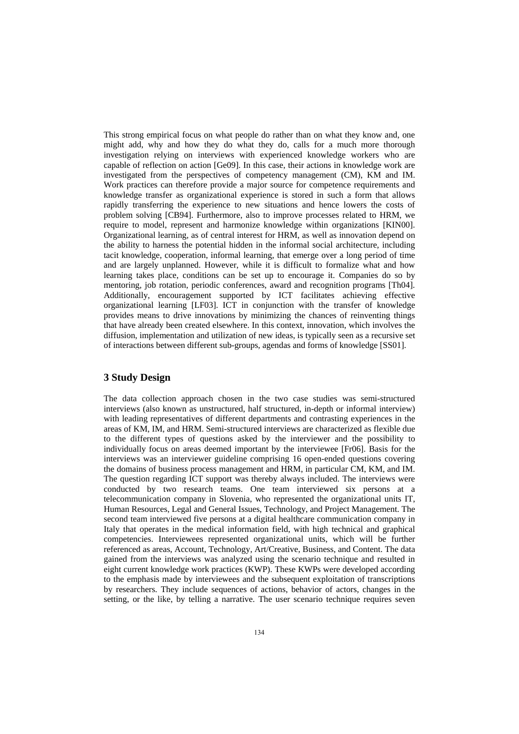This strong empirical focus on what people do rather than on what they know and, one might add, why and how they do what they do, calls for a much more thorough investigation relying on interviews with experienced knowledge workers who are capable of reflection on action [Ge09]. In this case, their actions in knowledge work are investigated from the perspectives of competency management (CM), KM and IM. Work practices can therefore provide a major source for competence requirements and knowledge transfer as organizational experience is stored in such a form that allows rapidly transferring the experience to new situations and hence lowers the costs of problem solving [CB94]. Furthermore, also to improve processes related to HRM, we require to model, represent and harmonize knowledge within organizations [KIN00]. Organizational learning, as of central interest for HRM, as well as innovation depend on the ability to harness the potential hidden in the informal social architecture, including tacit knowledge, cooperation, informal learning, that emerge over a long period of time and are largely unplanned. However, while it is difficult to formalize what and how learning takes place, conditions can be set up to encourage it. Companies do so by mentoring, job rotation, periodic conferences, award and recognition programs [Th04]. Additionally, encouragement supported by ICT facilitates achieving effective organizational learning [LF03]. ICT in conjunction with the transfer of knowledge provides means to drive innovations by minimizing the chances of reinventing things that have already been created elsewhere. In this context, innovation, which involves the diffusion, implementation and utilization of new ideas, is typically seen as a recursive set of interactions between different sub-groups, agendas and forms of knowledge [SS01].

## **3 Study Design**

The data collection approach chosen in the two case studies was semi-structured interviews (also known as unstructured, half structured, in-depth or informal interview) with leading representatives of different departments and contrasting experiences in the areas of KM, IM, and HRM. Semi-structured interviews are characterized as flexible due to the different types of questions asked by the interviewer and the possibility to individually focus on areas deemed important by the interviewee [Fr06]. Basis for the interviews was an interviewer guideline comprising 16 open-ended questions covering the domains of business process management and HRM, in particular CM, KM, and IM. The question regarding ICT support was thereby always included. The interviews were conducted by two research teams. One team interviewed six persons at a telecommunication company in Slovenia, who represented the organizational units IT, Human Resources, Legal and General Issues, Technology, and Project Management. The second team interviewed five persons at a digital healthcare communication company in Italy that operates in the medical information field, with high technical and graphical competencies. Interviewees represented organizational units, which will be further referenced as areas, Account, Technology, Art/Creative, Business, and Content. The data gained from the interviews was analyzed using the scenario technique and resulted in eight current knowledge work practices (KWP). These KWPs were developed according to the emphasis made by interviewees and the subsequent exploitation of transcriptions by researchers. They include sequences of actions, behavior of actors, changes in the setting, or the like, by telling a narrative. The user scenario technique requires seven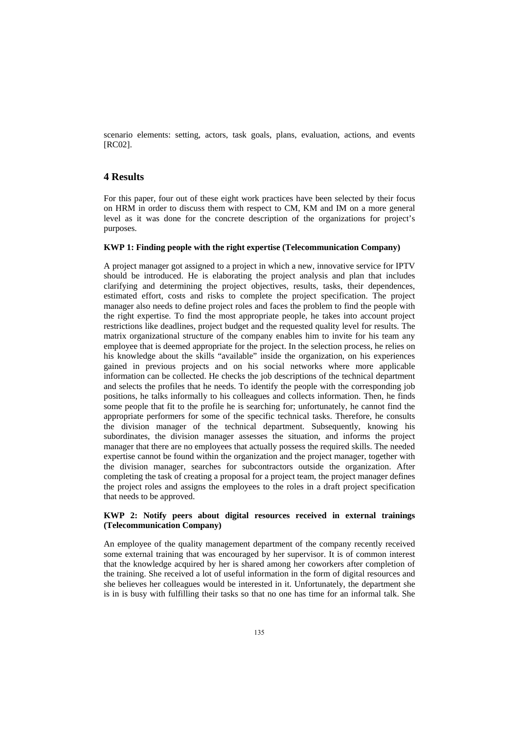scenario elements: setting, actors, task goals, plans, evaluation, actions, and events [RC02].

## **4 Results**

For this paper, four out of these eight work practices have been selected by their focus on HRM in order to discuss them with respect to CM, KM and IM on a more general level as it was done for the concrete description of the organizations for project's purposes.

#### **KWP 1: Finding people with the right expertise (Telecommunication Company)**

A project manager got assigned to a project in which a new, innovative service for IPTV should be introduced. He is elaborating the project analysis and plan that includes clarifying and determining the project objectives, results, tasks, their dependences, estimated effort, costs and risks to complete the project specification. The project manager also needs to define project roles and faces the problem to find the people with the right expertise. To find the most appropriate people, he takes into account project restrictions like deadlines, project budget and the requested quality level for results. The matrix organizational structure of the company enables him to invite for his team any employee that is deemed appropriate for the project. In the selection process, he relies on his knowledge about the skills "available" inside the organization, on his experiences gained in previous projects and on his social networks where more applicable information can be collected. He checks the job descriptions of the technical department and selects the profiles that he needs. To identify the people with the corresponding job positions, he talks informally to his colleagues and collects information. Then, he finds some people that fit to the profile he is searching for; unfortunately, he cannot find the appropriate performers for some of the specific technical tasks. Therefore, he consults the division manager of the technical department. Subsequently, knowing his subordinates, the division manager assesses the situation, and informs the project manager that there are no employees that actually possess the required skills. The needed expertise cannot be found within the organization and the project manager, together with the division manager, searches for subcontractors outside the organization. After completing the task of creating a proposal for a project team, the project manager defines the project roles and assigns the employees to the roles in a draft project specification that needs to be approved.

#### **KWP 2: Notify peers about digital resources received in external trainings (Telecommunication Company)**

An employee of the quality management department of the company recently received some external training that was encouraged by her supervisor. It is of common interest that the knowledge acquired by her is shared among her coworkers after completion of the training. She received a lot of useful information in the form of digital resources and she believes her colleagues would be interested in it. Unfortunately, the department she is in is busy with fulfilling their tasks so that no one has time for an informal talk. She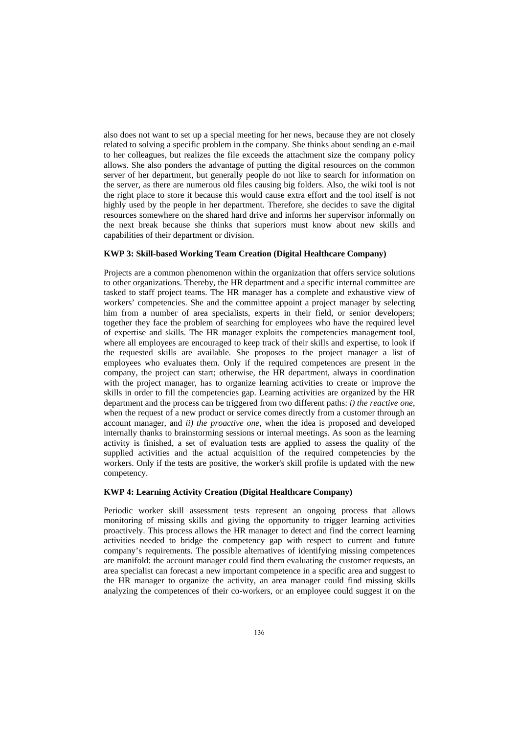also does not want to set up a special meeting for her news, because they are not closely related to solving a specific problem in the company. She thinks about sending an e-mail to her colleagues, but realizes the file exceeds the attachment size the company policy allows. She also ponders the advantage of putting the digital resources on the common server of her department, but generally people do not like to search for information on the server, as there are numerous old files causing big folders. Also, the wiki tool is not the right place to store it because this would cause extra effort and the tool itself is not highly used by the people in her department. Therefore, she decides to save the digital resources somewhere on the shared hard drive and informs her supervisor informally on the next break because she thinks that superiors must know about new skills and capabilities of their department or division.

#### **KWP 3: Skill-based Working Team Creation (Digital Healthcare Company)**

Projects are a common phenomenon within the organization that offers service solutions to other organizations. Thereby, the HR department and a specific internal committee are tasked to staff project teams. The HR manager has a complete and exhaustive view of workers' competencies. She and the committee appoint a project manager by selecting him from a number of area specialists, experts in their field, or senior developers; together they face the problem of searching for employees who have the required level of expertise and skills. The HR manager exploits the competencies management tool, where all employees are encouraged to keep track of their skills and expertise, to look if the requested skills are available. She proposes to the project manager a list of employees who evaluates them. Only if the required competences are present in the company, the project can start; otherwise, the HR department, always in coordination with the project manager, has to organize learning activities to create or improve the skills in order to fill the competencies gap. Learning activities are organized by the HR department and the process can be triggered from two different paths: *i) the reactive one*, when the request of a new product or service comes directly from a customer through an account manager, and *ii) the proactive one*, when the idea is proposed and developed internally thanks to brainstorming sessions or internal meetings. As soon as the learning activity is finished, a set of evaluation tests are applied to assess the quality of the supplied activities and the actual acquisition of the required competencies by the workers. Only if the tests are positive, the worker's skill profile is updated with the new competency.

#### **KWP 4: Learning Activity Creation (Digital Healthcare Company)**

Periodic worker skill assessment tests represent an ongoing process that allows monitoring of missing skills and giving the opportunity to trigger learning activities proactively. This process allows the HR manager to detect and find the correct learning activities needed to bridge the competency gap with respect to current and future company's requirements. The possible alternatives of identifying missing competences are manifold: the account manager could find them evaluating the customer requests, an area specialist can forecast a new important competence in a specific area and suggest to the HR manager to organize the activity, an area manager could find missing skills analyzing the competences of their co-workers, or an employee could suggest it on the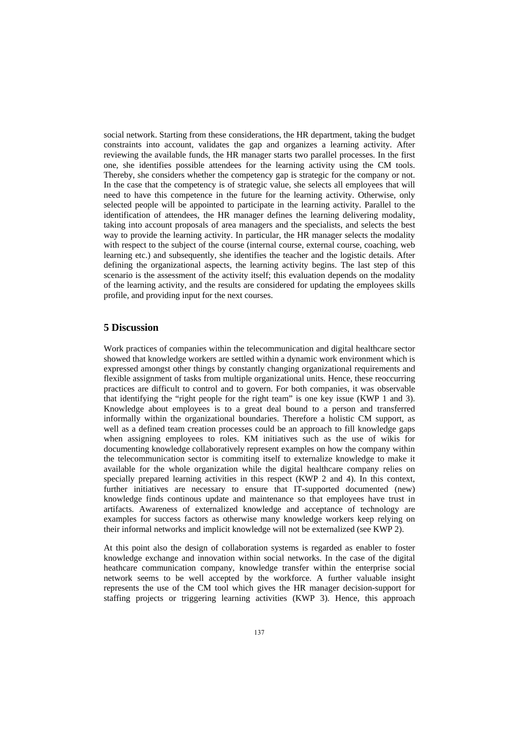social network. Starting from these considerations, the HR department, taking the budget constraints into account, validates the gap and organizes a learning activity. After reviewing the available funds, the HR manager starts two parallel processes. In the first one, she identifies possible attendees for the learning activity using the CM tools. Thereby, she considers whether the competency gap is strategic for the company or not. In the case that the competency is of strategic value, she selects all employees that will need to have this competence in the future for the learning activity. Otherwise, only selected people will be appointed to participate in the learning activity. Parallel to the identification of attendees, the HR manager defines the learning delivering modality, taking into account proposals of area managers and the specialists, and selects the best way to provide the learning activity. In particular, the HR manager selects the modality with respect to the subject of the course (internal course, external course, coaching, web learning etc.) and subsequently, she identifies the teacher and the logistic details. After defining the organizational aspects, the learning activity begins. The last step of this scenario is the assessment of the activity itself; this evaluation depends on the modality of the learning activity, and the results are considered for updating the employees skills profile, and providing input for the next courses.

### **5 Discussion**

Work practices of companies within the telecommunication and digital healthcare sector showed that knowledge workers are settled within a dynamic work environment which is expressed amongst other things by constantly changing organizational requirements and flexible assignment of tasks from multiple organizational units. Hence, these reoccurring practices are difficult to control and to govern. For both companies, it was observable that identifying the "right people for the right team" is one key issue (KWP 1 and 3). Knowledge about employees is to a great deal bound to a person and transferred informally within the organizational boundaries. Therefore a holistic CM support, as well as a defined team creation processes could be an approach to fill knowledge gaps when assigning employees to roles. KM initiatives such as the use of wikis for documenting knowledge collaboratively represent examples on how the company within the telecommunication sector is commiting itself to externalize knowledge to make it available for the whole organization while the digital healthcare company relies on specially prepared learning activities in this respect (KWP 2 and 4). In this context, further initiatives are necessary to ensure that IT-supported documented (new) knowledge finds continous update and maintenance so that employees have trust in artifacts. Awareness of externalized knowledge and acceptance of technology are examples for success factors as otherwise many knowledge workers keep relying on their informal networks and implicit knowledge will not be externalized (see KWP 2).

At this point also the design of collaboration systems is regarded as enabler to foster knowledge exchange and innovation within social networks. In the case of the digital heathcare communication company, knowledge transfer within the enterprise social network seems to be well accepted by the workforce. A further valuable insight represents the use of the CM tool which gives the HR manager decision-support for staffing projects or triggering learning activities (KWP 3). Hence, this approach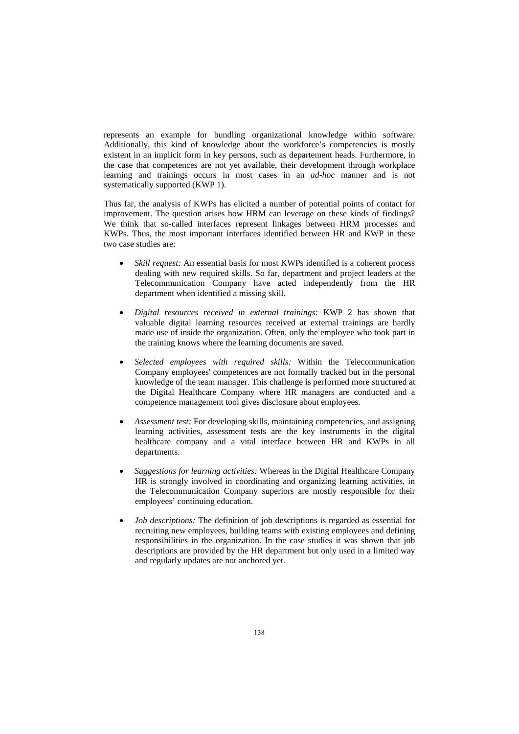represents an example for bundling organizational knowledge within software. Additionally, this kind of knowledge about the workforce's competencies is mostly existent in an implicit form in key persons, such as departement heads. Furthermore, in the case that competences are not yet available, their development through workplace learning and trainings occurs in most cases in an *ad-hoc* manner and is not systematically supported (KWP 1).

Thus far, the analysis of KWPs has elicited a number of potential points of contact for improvement. The question arises how HRM can leverage on these kinds of findings? We think that so-called interfaces represent linkages between HRM processes and KWPs. Thus, the most important interfaces identified between HR and KWP in these two case studies are:

- *Skill request:* An essential basis for most KWPs identified is a coherent process dealing with new required skills. So far, department and project leaders at the Telecommunication Company have acted independently from the HR department when identified a missing skill.
- *Digital resources received in external trainings:* KWP 2 has shown that valuable digital learning resources received at external trainings are hardly made use of inside the organization. Often, only the employee who took part in the training knows where the learning documents are saved.
- *Selected employees with required skills:* Within the Telecommunication Company employees' competences are not formally tracked but in the personal knowledge of the team manager. This challenge is performed more structured at the Digital Healthcare Company where HR managers are conducted and a competence management tool gives disclosure about employees.
- *Assessment test:* For developing skills, maintaining competencies, and assigning learning activities, assessment tests are the key instruments in the digital healthcare company and a vital interface between HR and KWPs in all departments.
- *Suggestions for learning activities:* Whereas in the Digital Healthcare Company HR is strongly involved in coordinating and organizing learning activities, in the Telecommunication Company superiors are mostly responsible for their employees' continuing education.
- *Job descriptions:* The definition of job descriptions is regarded as essential for recruiting new employees, building teams with existing employees and defining responsibilities in the organization. In the case studies it was shown that job descriptions are provided by the HR department but only used in a limited way and regularly updates are not anchored yet.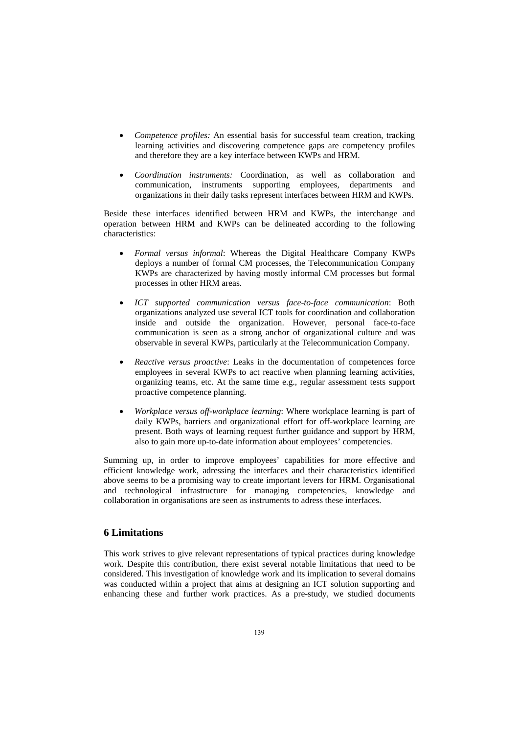- *Competence profiles:* An essential basis for successful team creation, tracking learning activities and discovering competence gaps are competency profiles and therefore they are a key interface between KWPs and HRM.
- *Coordination instruments:* Coordination, as well as collaboration and communication, instruments supporting employees, departments and organizations in their daily tasks represent interfaces between HRM and KWPs.

Beside these interfaces identified between HRM and KWPs, the interchange and operation between HRM and KWPs can be delineated according to the following characteristics:

- *Formal versus informal*: Whereas the Digital Healthcare Company KWPs deploys a number of formal CM processes, the Telecommunication Company KWPs are characterized by having mostly informal CM processes but formal processes in other HRM areas.
- *ICT supported communication versus face-to-face communication*: Both organizations analyzed use several ICT tools for coordination and collaboration inside and outside the organization. However, personal face-to-face communication is seen as a strong anchor of organizational culture and was observable in several KWPs, particularly at the Telecommunication Company.
- *Reactive versus proactive*: Leaks in the documentation of competences force employees in several KWPs to act reactive when planning learning activities, organizing teams, etc. At the same time e.g., regular assessment tests support proactive competence planning.
- *Workplace versus off-workplace learning*: Where workplace learning is part of daily KWPs, barriers and organizational effort for off-workplace learning are present. Both ways of learning request further guidance and support by HRM, also to gain more up-to-date information about employees' competencies.

Summing up, in order to improve employees' capabilities for more effective and efficient knowledge work, adressing the interfaces and their characteristics identified above seems to be a promising way to create important levers for HRM. Organisational and technological infrastructure for managing competencies, knowledge and collaboration in organisations are seen as instruments to adress these interfaces.

### **6 Limitations**

This work strives to give relevant representations of typical practices during knowledge work. Despite this contribution, there exist several notable limitations that need to be considered. This investigation of knowledge work and its implication to several domains was conducted within a project that aims at designing an ICT solution supporting and enhancing these and further work practices. As a pre-study, we studied documents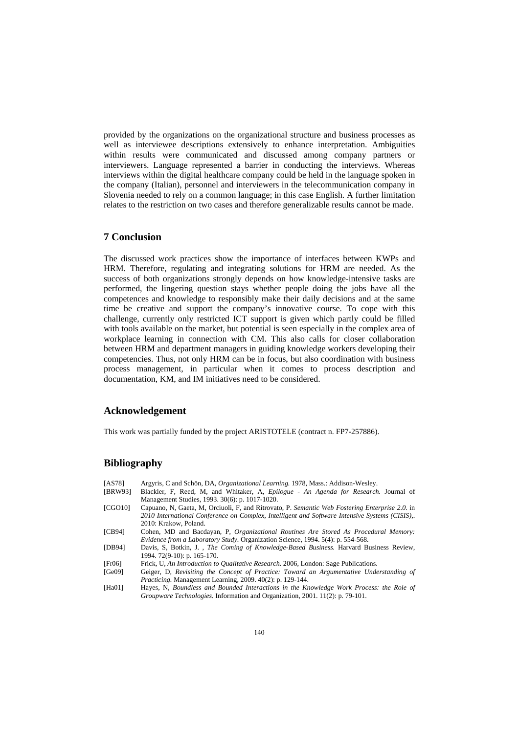provided by the organizations on the organizational structure and business processes as well as interviewee descriptions extensively to enhance interpretation. Ambiguities within results were communicated and discussed among company partners or interviewers. Language represented a barrier in conducting the interviews. Whereas interviews within the digital healthcare company could be held in the language spoken in the company (Italian), personnel and interviewers in the telecommunication company in Slovenia needed to rely on a common language; in this case English. A further limitation relates to the restriction on two cases and therefore generalizable results cannot be made.

### **7 Conclusion**

The discussed work practices show the importance of interfaces between KWPs and HRM. Therefore, regulating and integrating solutions for HRM are needed. As the success of both organizations strongly depends on how knowledge-intensive tasks are performed, the lingering question stays whether people doing the jobs have all the competences and knowledge to responsibly make their daily decisions and at the same time be creative and support the company's innovative course. To cope with this challenge, currently only restricted ICT support is given which partly could be filled with tools available on the market, but potential is seen especially in the complex area of workplace learning in connection with CM. This also calls for closer collaboration between HRM and department managers in guiding knowledge workers developing their competencies. Thus, not only HRM can be in focus, but also coordination with business process management, in particular when it comes to process description and documentation, KM, and IM initiatives need to be considered.

### **Acknowledgement**

This work was partially funded by the project ARISTOTELE (contract n. FP7-257886).

### **Bibliography**

- [AS78] Argyris, C and Schön, DA, *Organizational Learning.* 1978, Mass.: Addison-Wesley. [BRW93] Blackler, F, Reed, M, and Whitaker, A, *Epilogue - An Agenda for Research.* Journal of Management Studies, 1993. 30(6): p. 1017-1020. [CGO10] Capuano, N, Gaeta, M, Orciuoli, F, and Ritrovato, P. *Semantic Web Fostering Enterprise 2.0*. in
- *2010 International Conference on Complex, Intelligent and Software Intensive Systems (CISIS),*. 2010: Krakow, Poland.
- [CB94] Cohen, MD and Bacdayan, P, *Organizational Routines Are Stored As Procedural Memory: Evidence from a Laboratory Study.* Organization Science, 1994. 5(4): p. 554-568.
- [DB94] Davis, S, Botkin, J. , *The Coming of Knowledge-Based Business.* Harvard Business Review, 1994. 72(9-10): p. 165-170.
- [Fr06] Frick, U, *An Introduction to Qualitative Research*. 2006, London: Sage Publications.
- [Ge09] Geiger, D, *Revisiting the Concept of Practice: Toward an Argumentative Understanding of Practicing.* Management Learning, 2009. 40(2): p. 129-144.
- [Ha01] Hayes, N, *Boundless and Bounded Interactions in the Knowledge Work Process: the Role of Groupware Technologies.* Information and Organization, 2001. 11(2): p. 79-101.